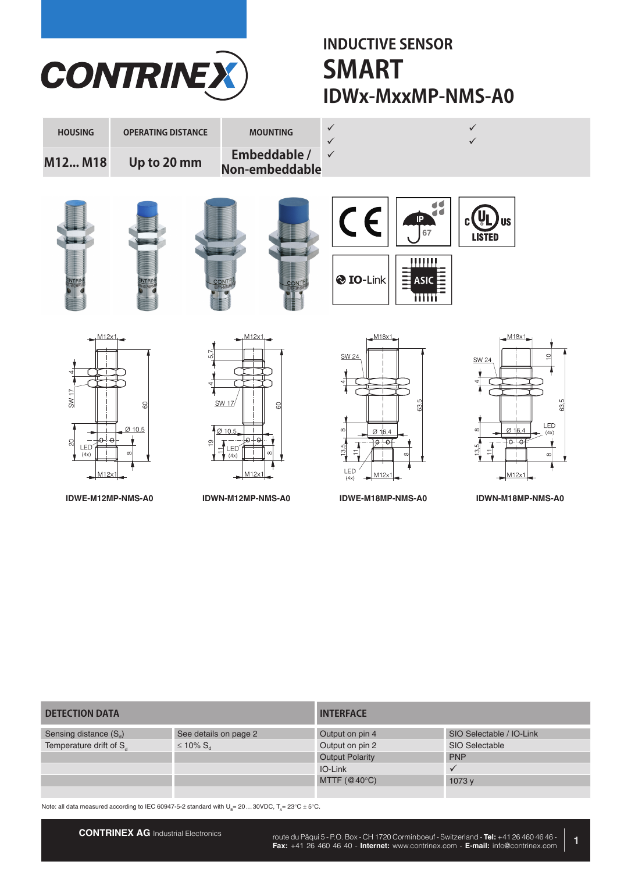

# **INDUCTIVE SENSOR IDWx-MxxMP-NMS-A0 SMART**



| <b>DETECTION DATA</b>               |                            | <b>INTERFACE</b>       |                          |  |  |  |
|-------------------------------------|----------------------------|------------------------|--------------------------|--|--|--|
| Sensing distance $(S_d)$            | See details on page 2      | Output on pin 4        | SIO Selectable / IO-Link |  |  |  |
| Temperature drift of S <sub>d</sub> | $\leq 10\%$ S <sub>d</sub> | Output on pin 2        | SIO Selectable           |  |  |  |
|                                     |                            | <b>Output Polarity</b> | <b>PNP</b>               |  |  |  |
|                                     |                            | IO-Link                |                          |  |  |  |
|                                     |                            | MTTF $(@40°C)$         | 1073y                    |  |  |  |
|                                     |                            |                        |                          |  |  |  |

Note: all data measured according to IEC 60947-5-2 standard with  $U_{B}= 20...30$ VDC,  $T_{A}= 23^{\circ}$ C  $\pm$  5°C.

**1**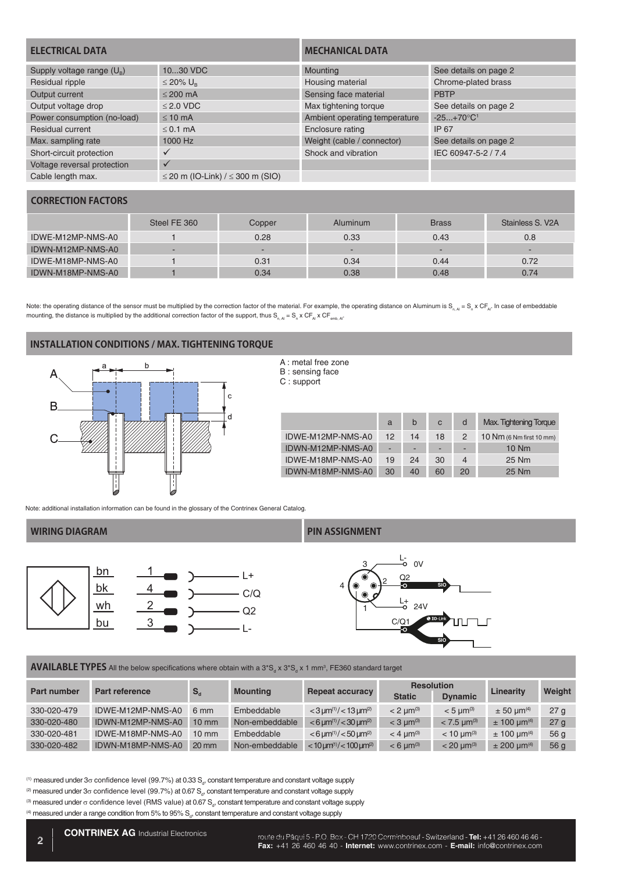| <b>ELECTRICAL DATA</b>             |                                  | <b>MECHANICAL DATA</b>        |                          |  |  |
|------------------------------------|----------------------------------|-------------------------------|--------------------------|--|--|
| Supply voltage range $(U_{\rm B})$ | 1030 VDC                         | Mounting                      | See details on page 2    |  |  |
| Residual ripple                    | ≤ 20% $U_R$                      | Housing material              | Chrome-plated brass      |  |  |
| Output current                     | $< 200$ mA                       | Sensing face material         | <b>PBTP</b>              |  |  |
| Output voltage drop                | $< 2.0$ VDC                      | Max tightening torque         | See details on page 2    |  |  |
| Power consumption (no-load)        | $< 10 \text{ mA}$                | Ambient operating temperature | $-25+70$ °C <sup>1</sup> |  |  |
| Residual current                   | $< 0.1$ mA                       | Enclosure rating              | IP 67                    |  |  |
| Max. sampling rate                 | 1000 Hz                          | Weight (cable / connector)    | See details on page 2    |  |  |
| Short-circuit protection           |                                  | Shock and vibration           | IEC 60947-5-2 / 7.4      |  |  |
| Voltage reversal protection        |                                  |                               |                          |  |  |
| Cable length max.                  | ≤ 20 m (IO-Link) / ≤ 300 m (SIO) |                               |                          |  |  |

# **CORRECTION FACTORS**

|                   | Steel FE 360 | Copper                   | <b>Aluminum</b> | <b>Brass</b> | Stainless S. V2A |
|-------------------|--------------|--------------------------|-----------------|--------------|------------------|
| IDWE-M12MP-NMS-A0 |              | 0.28                     | 0.33            | 0.43         | 0.8              |
| IDWN-M12MP-NMS-A0 | -            | $\overline{\phantom{0}}$ | -               | -            |                  |
| IDWE-M18MP-NMS-A0 |              | 0.31                     | 0.34            | 0.44         | 0.72             |
| IDWN-M18MP-NMS-A0 |              | 0.34                     | 0.38            | 0.48         | 0.74             |

Note: the operating distance of the sensor must be multiplied by the correction factor of the material. For example, the operating distance on Aluminum is S<sub>n, Al</sub> = S<sub>n</sub> x CF<sub>A</sub>. In case of embeddable mounting, the distance is multiplied by the additional correction factor of the support, thus  $S_{n,A} = S_n \times CF_{A} \times CF_{emb, Al}$ 

### **INSTALLATION CONDITIONS / MAX. TIGHTENING TORQUE**



#### A : metal free zone B : sensing face C : support

|                   | a  | b  | $\mathbf{C}$ | d  | <b>Max. Tightening Torque</b>      |
|-------------------|----|----|--------------|----|------------------------------------|
| IDWE-M12MP-NMS-A0 | 12 | 14 | 18           |    | $10 \text{ Nm}$ (6 Nm first 10 mm) |
| IDWN-M12MP-NMS-A0 | ۰  | -  | -            | ۰  | $10$ Nm                            |
| IDWE-M18MP-NMS-A0 | 19 | 24 | 30           | 4  | 25 Nm                              |
| IDWN-M18MP-NMS-A0 | 30 | 40 | 60           | 20 | 25 Nm                              |

Note: additional installation information can be found in the glossary of the Contrinex General Catalog.



#### **WIRING DIAGRAM PIN ASSIGNMENT**



 $\sf AVAILABLE \sf{TPES}$  All the below specifications where obtain with a 3\*S<sub>a</sub> x 3\*S<sub>a</sub> x 1 mm<sup>3</sup>, FE360 standard target

| Part number | <b>Part reference</b> |                 |                 |                                                              | <b>Resolution</b>       |                           | Linearity                   |                 |
|-------------|-----------------------|-----------------|-----------------|--------------------------------------------------------------|-------------------------|---------------------------|-----------------------------|-----------------|
|             |                       | $S_{\rm d}$     | <b>Mounting</b> | <b>Repeat accuracy</b>                                       | <b>Static</b>           | <b>Dynamic</b>            |                             | Weight          |
| 330-020-479 | IDWE-M12MP-NMS-A0     | 6 mm            | Embeddable      | $<$ 3 $\mu$ m <sup>(1)</sup> / $<$ 13 $\mu$ m <sup>(2)</sup> | $< 2$ um <sup>(3)</sup> | $<$ 5 um <sup>(3)</sup>   | $\pm$ 50 um <sup>(4)</sup>  | 27 <sub>g</sub> |
| 330-020-480 | IDWN-M12MP-NMS-A0     | $10 \text{ mm}$ | Non-embeddable  | $< 6 \,\mathrm{\mu m^{(1)}} / < 30 \,\mathrm{\mu m^{(2)}}$   | $<$ 3 um <sup>(3)</sup> | $< 7.5$ um <sup>(3)</sup> | $\pm$ 100 µm <sup>(4)</sup> | 27 <sub>g</sub> |
| 330-020-481 | IDWE-M18MP-NMS-A0     | $10 \text{ mm}$ | Embeddable      | $< 6 \,\mathrm{\mu m^{(1)}} / < 50 \,\mathrm{\mu m^{(2)}}$   | $<$ 4 um <sup>(3)</sup> | $< 10 \text{ nm}^{(3)}$   | $\pm$ 100 µm <sup>(4)</sup> | 56 <sub>q</sub> |
| 330-020-482 | IDWN-M18MP-NMS-A0     | $20 \text{ mm}$ | Non-embeddable  | $<$ 10 um <sup>(1)</sup> / $<$ 100 um <sup>(2)</sup>         | $< 6$ um <sup>(3)</sup> | $< 20 \text{ nm}^{(3)}$   | $\pm$ 200 um <sup>(4)</sup> | 56 <sub>q</sub> |

<sup>(1)</sup> measured under 3 $\sigma$  confidence level (99.7%) at 0.33 S<sub>a</sub>, constant temperature and constant voltage supply

- <sup>(2)</sup> measured under 3 $\sigma$  confidence level (99.7%) at 0.67  $\mathsf{S}_{_{\!o\!f\!f\!f}}$  constant temperature and constant voltage supply
- <sup>(3)</sup> measured under σ confidence level (RMS value) at 0.67 S<sub>a</sub>, constant temperature and constant voltage supply

 $^{(4)}$  measured under a range condition from 5% to 95%  $\rm S_{d}$ , constant temperature and constant voltage supply

Foute du Pâqui 5 - P.O. Box - CH 1720 Corminboeuf - Switzerland - Tel: +41 26 460 46 46 - Tel: +41 26 460 46 46 -**Fax:** +41 26 460 46 40 - **Industrial Electronics**<br>**Fax:** +41 26 460 46 40 - **Internet:** www.contrinex.com - **E-mail:** info@contrinex.com - **E-mail:** info@contrinex.com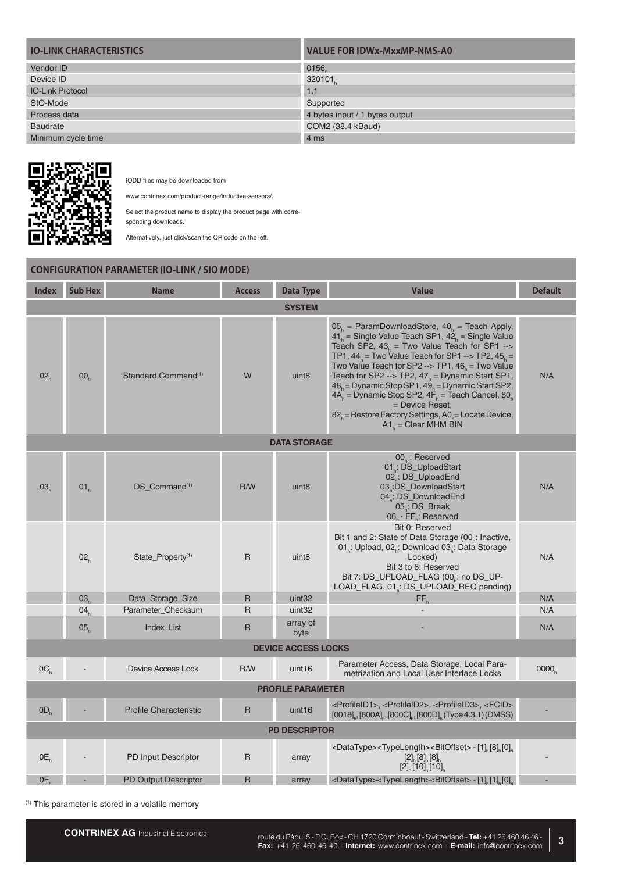| <b>IO-LINK CHARACTERISTICS</b> | <b>VALUE FOR IDWx-MxxMP-NMS-A0</b> |
|--------------------------------|------------------------------------|
| Vendor ID                      | 0156                               |
| Device ID                      | 320101                             |
| <b>IO-Link Protocol</b>        | 1.1                                |
| SIO-Mode                       | Supported                          |
| Process data                   | 4 bytes input / 1 bytes output     |
| <b>Baudrate</b>                | COM2 (38.4 kBaud)                  |
| Minimum cycle time             | 4 ms                               |



IODD files may be downloaded from

www.contrinex.com/product-range/inductive-sensors/.

Select the product name to display the product page with corresponding downloads.

Alternatively, just click/scan the QR code on the left.

|                 | <b>CONFIGURATION PARAMETER (IO-LINK / SIO MODE)</b> |                                 |               |                            |                                                                                                                                                                                                                                                                                                                                                                                                                                                                                                                                                                         |                   |  |  |  |  |  |
|-----------------|-----------------------------------------------------|---------------------------------|---------------|----------------------------|-------------------------------------------------------------------------------------------------------------------------------------------------------------------------------------------------------------------------------------------------------------------------------------------------------------------------------------------------------------------------------------------------------------------------------------------------------------------------------------------------------------------------------------------------------------------------|-------------------|--|--|--|--|--|
| <b>Index</b>    | <b>Sub Hex</b>                                      | <b>Name</b>                     | <b>Access</b> | <b>Data Type</b>           | <b>Value</b>                                                                                                                                                                                                                                                                                                                                                                                                                                                                                                                                                            | <b>Default</b>    |  |  |  |  |  |
|                 | <b>SYSTEM</b>                                       |                                 |               |                            |                                                                                                                                                                                                                                                                                                                                                                                                                                                                                                                                                                         |                   |  |  |  |  |  |
| 02 <sub>n</sub> | 00 <sub>n</sub>                                     | Standard Command <sup>(1)</sup> | W             | uint <sub>8</sub>          | $05h$ = ParamDownloadStore, $40h$ = Teach Apply,<br>$41h$ = Single Value Teach SP1, $42h$ = Single Value<br>Teach SP2, $43_h$ = Two Value Teach for SP1 --><br>TP1, $44_h$ = Two Value Teach for SP1 --> TP2, $45_h$ =<br>Two Value Teach for SP2 --> TP1, $46n$ = Two Value<br>Teach for SP2 --> TP2, $47h$ = Dynamic Start SP1,<br>$48h$ = Dynamic Stop SP1, $49h$ = Dynamic Start SP2,<br>$4A_h$ = Dynamic Stop SP2, $4F_h$ = Teach Cancel, $80_h$<br>= Device Reset,<br>$82h$ = Restore Factory Settings, A0 <sub>h</sub> = Locate Device,<br>$A1b = Clear MHM BIN$ | N/A               |  |  |  |  |  |
|                 |                                                     |                                 |               | <b>DATA STORAGE</b>        |                                                                                                                                                                                                                                                                                                                                                                                                                                                                                                                                                                         |                   |  |  |  |  |  |
| 03 <sub>h</sub> | 01 <sub>h</sub>                                     | DS_Command <sup>(1)</sup>       | R/W           | uint <sub>8</sub>          | $00h$ : Reserved<br>01 <sub>h</sub> : DS_UploadStart<br>02. DS_UploadEnd<br>03.DS_DownloadStart<br>04.: DS_DownloadEnd<br>$05$ . DS_Break<br>$06_h$ - $FF_h$ : Reserved                                                                                                                                                                                                                                                                                                                                                                                                 | N/A               |  |  |  |  |  |
|                 | 02 <sub>b</sub>                                     | State_Property <sup>(1)</sup>   | R             | uint <sub>8</sub>          | Bit 0: Reserved<br>Bit 1 and 2: State of Data Storage (00 <sub>p</sub> : Inactive,<br>01. Upload, 02. Download 03. Data Storage<br>Locked)<br>Bit 3 to 6: Reserved<br>Bit 7: DS_UPLOAD_FLAG (00,: no DS_UP-<br>LOAD_FLAG, 01.: DS_UPLOAD_REQ pending)                                                                                                                                                                                                                                                                                                                   | N/A               |  |  |  |  |  |
|                 | 03 <sub>k</sub>                                     | Data_Storage_Size               | R             | uint <sub>32</sub>         | FF,                                                                                                                                                                                                                                                                                                                                                                                                                                                                                                                                                                     | N/A               |  |  |  |  |  |
|                 | 04 <sub>h</sub>                                     | Parameter_Checksum              | $\mathsf{R}$  | uint <sub>32</sub>         |                                                                                                                                                                                                                                                                                                                                                                                                                                                                                                                                                                         | N/A               |  |  |  |  |  |
|                 | 05 <sub>h</sub>                                     | Index_List                      | $\mathsf{R}$  | array of<br>byte           |                                                                                                                                                                                                                                                                                                                                                                                                                                                                                                                                                                         | N/A               |  |  |  |  |  |
|                 |                                                     |                                 |               | <b>DEVICE ACCESS LOCKS</b> |                                                                                                                                                                                                                                                                                                                                                                                                                                                                                                                                                                         |                   |  |  |  |  |  |
| OC <sub>h</sub> |                                                     | Device Access Lock              | R/W           | uint <sub>16</sub>         | Parameter Access, Data Storage, Local Para-<br>metrization and Local User Interface Locks                                                                                                                                                                                                                                                                                                                                                                                                                                                                               | 0000 <sub>n</sub> |  |  |  |  |  |
|                 |                                                     |                                 |               | <b>PROFILE PARAMETER</b>   |                                                                                                                                                                                                                                                                                                                                                                                                                                                                                                                                                                         |                   |  |  |  |  |  |
| OD <sub>h</sub> |                                                     | <b>Profile Characteristic</b>   | $\mathsf{R}$  | uint <sub>16</sub>         | <profileid1>, <profileid2>, <profileid3>, <fcid><br/><math>[0018]_{n}</math>, <math>[800A]_{n}</math>, <math>[800C]_{n}</math>, <math>[800D]_{n}</math> (Type 4.3.1) (DMSS)</fcid></profileid3></profileid2></profileid1>                                                                                                                                                                                                                                                                                                                                               |                   |  |  |  |  |  |
|                 |                                                     |                                 |               | <b>PD DESCRIPTOR</b>       |                                                                                                                                                                                                                                                                                                                                                                                                                                                                                                                                                                         |                   |  |  |  |  |  |
| OE <sub>h</sub> |                                                     | PD Input Descriptor             | $\mathsf{R}$  | array                      | <datatype><typelength><bitoffset> - [1] [8] [0]<br/><math>[2]_h[8]_h[8]_h</math><br/><math>[2]_n [10]_n [10]_n</math></bitoffset></typelength></datatype>                                                                                                                                                                                                                                                                                                                                                                                                               |                   |  |  |  |  |  |
| OF.             |                                                     | <b>PD Output Descriptor</b>     | R             | array                      | <datatype><typelength><bitoffset> - [1]<sub>n</sub>[1]<sub>n</sub>[0]<sub>n</sub></bitoffset></typelength></datatype>                                                                                                                                                                                                                                                                                                                                                                                                                                                   |                   |  |  |  |  |  |

(1) This parameter is stored in a volatile memory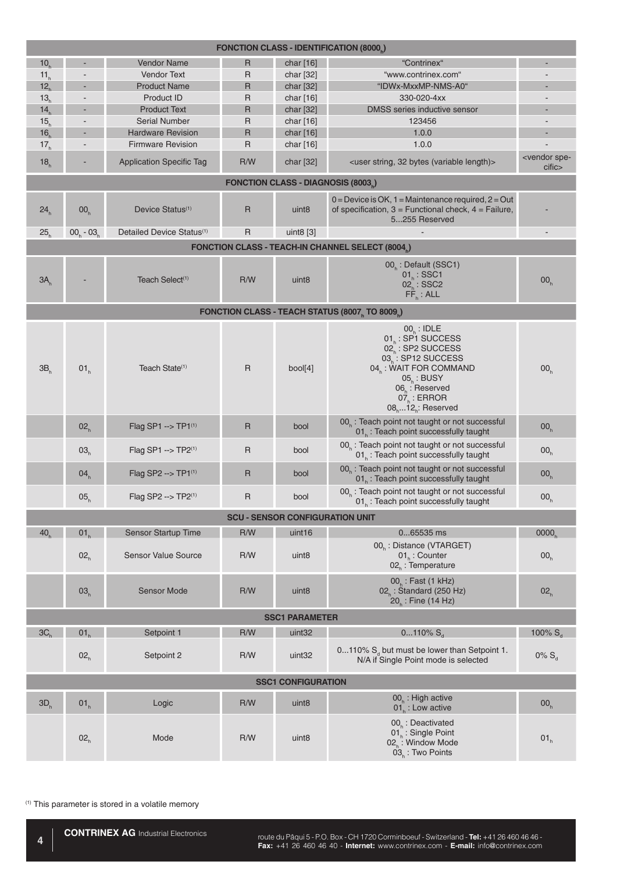| <b>FONCTION CLASS - IDENTIFICATION (8000)</b> |                 |                                       |     |                                                 |                                                                                                                                                                                                                                 |                                   |  |  |  |
|-----------------------------------------------|-----------------|---------------------------------------|-----|-------------------------------------------------|---------------------------------------------------------------------------------------------------------------------------------------------------------------------------------------------------------------------------------|-----------------------------------|--|--|--|
| 10 <sub>r</sub>                               |                 | Vendor Name                           | R   | char [16]                                       | "Contrinex"                                                                                                                                                                                                                     |                                   |  |  |  |
| 11 <sub>h</sub>                               |                 | <b>Vendor Text</b>                    | R   | char $[32]$                                     | "www.contrinex.com"                                                                                                                                                                                                             |                                   |  |  |  |
| 12 <sub>h</sub>                               |                 | <b>Product Name</b>                   | R   | char [32]                                       | "IDWx-MxxMP-NMS-A0"                                                                                                                                                                                                             |                                   |  |  |  |
| 13 <sub>h</sub>                               |                 | Product ID                            | R   | char $[16]$                                     | 330-020-4xx                                                                                                                                                                                                                     |                                   |  |  |  |
| 14 <sub>h</sub>                               |                 | <b>Product Text</b>                   | R   | char [32]                                       | DMSS series inductive sensor                                                                                                                                                                                                    |                                   |  |  |  |
| 15 <sub>h</sub>                               |                 | Serial Number                         | R   | char [16]                                       | 123456                                                                                                                                                                                                                          |                                   |  |  |  |
| 16 <sub>h</sub>                               |                 | <b>Hardware Revision</b>              | R   | char [16]                                       | 1.0.0                                                                                                                                                                                                                           |                                   |  |  |  |
| 17 <sub>h</sub>                               |                 | <b>Firmware Revision</b>              | R   | char [16]                                       | 1.0.0                                                                                                                                                                                                                           |                                   |  |  |  |
| 18 <sub>h</sub>                               |                 | <b>Application Specific Tag</b>       | R/W | char [32]                                       | <user (variable="" 32="" bytes="" length)="" string,=""></user>                                                                                                                                                                 | <vendor spe-<br="">cific</vendor> |  |  |  |
|                                               |                 |                                       |     | FONCTION CLASS - DIAGNOSIS (8003 <sub>b</sub> ) |                                                                                                                                                                                                                                 |                                   |  |  |  |
| 24 <sub>h</sub>                               | 00 <sub>h</sub> | Device Status <sup>(1)</sup>          | R   | uint <sub>8</sub>                               | $0 =$ Device is OK, 1 = Maintenance required, 2 = Out<br>of specification, $3 =$ Functional check, $4 =$ Failure,<br>5255 Reserved                                                                                              |                                   |  |  |  |
| 25 <sub>b</sub>                               | $00_h - 03_h$   | Detailed Device Status <sup>(1)</sup> | R   | uint $8$ [3]                                    |                                                                                                                                                                                                                                 |                                   |  |  |  |
|                                               |                 |                                       |     |                                                 | <b>FONCTION CLASS - TEACH-IN CHANNEL SELECT (8004)</b>                                                                                                                                                                          |                                   |  |  |  |
| 3A <sub>h</sub>                               |                 | Teach Select <sup>(1)</sup>           | R/W | uint <sub>8</sub>                               | 00 <sub>h</sub> : Default (SSC1)<br>$01_h$ : SSC1<br>$02_{h}$ : SSC2<br>$\overline{\mathsf{FF}}_{h}$ : ALL                                                                                                                      | 00 <sub>h</sub>                   |  |  |  |
|                                               |                 |                                       |     |                                                 | FONCTION CLASS - TEACH STATUS (8007, TO 8009,)                                                                                                                                                                                  |                                   |  |  |  |
| 3B <sub>h</sub>                               | 01 <sub>h</sub> | Teach State <sup>(1)</sup>            | R   | bool[4]                                         | $00h$ : IDLE<br>01. : SP1 SUCCESS<br>02, : SP2 SUCCESS<br>03. : SP12 SUCCESS<br>04 <sub>h</sub> : WAIT FOR COMMAND<br>$05_{k}$ : BUSY<br>$06_{h}$ : Reserved<br>$07h$ : ERROR<br>$08$ <sub>h</sub> $12$ <sub>h</sub> : Reserved | 00 <sub>h</sub>                   |  |  |  |
|                                               | 02 <sub>h</sub> | Flag SP1 --> TP1(1)                   | R   | bool                                            | 00 <sub>h</sub> : Teach point not taught or not successful<br>01. : Teach point successfully taught                                                                                                                             | 00 <sub>h</sub>                   |  |  |  |
|                                               | 03 <sub>h</sub> | Flag SP1 -- > TP2(1)                  | R   | bool                                            | 00 <sub>h</sub> : Teach point not taught or not successful<br>01 : Teach point successfully taught                                                                                                                              | 00 <sub>h</sub>                   |  |  |  |
|                                               | 04 <sub>h</sub> | Flag SP2 --> $TP1^{(1)}$              | R   | bool                                            | 00. : Teach point not taught or not successful<br>01. : Teach point successfully taught                                                                                                                                         | 00 <sub>h</sub>                   |  |  |  |
|                                               | 05 <sub>h</sub> | Flag SP2 $\rightarrow$ TP2(1)         | R   | bool                                            | 00 <sub>h</sub> : Teach point not taught or not successful<br>01 : Teach point successfully taught                                                                                                                              | 00 <sub>h</sub>                   |  |  |  |
|                                               |                 |                                       |     | <b>SCU - SENSOR CONFIGURATION UNIT</b>          |                                                                                                                                                                                                                                 |                                   |  |  |  |
| 40 <sub>b</sub>                               | 01 <sub>h</sub> | Sensor Startup Time                   | R/W | uint <sub>16</sub>                              | 065535 ms                                                                                                                                                                                                                       | 0000 <sub>b</sub>                 |  |  |  |
|                                               | 02 <sub>h</sub> | <b>Sensor Value Source</b>            | R/W | uint <sub>8</sub>                               | 00 <sub>h</sub> : Distance (VTARGET)<br>$01h$ : Counter<br>$02b$ : Temperature                                                                                                                                                  | 00 <sub>h</sub>                   |  |  |  |
|                                               | 03 <sub>h</sub> | <b>Sensor Mode</b>                    | R/W | uint <sub>8</sub>                               | 00 <sub>h</sub> : Fast (1 kHz)<br>$02n$ : Standard (250 Hz)<br>20 : Fine (14 Hz)                                                                                                                                                | 02 <sub>h</sub>                   |  |  |  |
|                                               |                 |                                       |     | <b>SSC1 PARAMETER</b>                           |                                                                                                                                                                                                                                 |                                   |  |  |  |
| 3C <sub>h</sub>                               | 01 <sub>h</sub> | Setpoint 1                            | R/W | uint <sub>32</sub>                              | $0110\%$ S <sub>d</sub>                                                                                                                                                                                                         | 100% $S_{d}$                      |  |  |  |
|                                               | 02 <sub>h</sub> | Setpoint 2                            | R/W | uint <sub>32</sub>                              | 0110% $Sa$ but must be lower than Setpoint 1.<br>N/A if Single Point mode is selected                                                                                                                                           | $0\% S_{d}$                       |  |  |  |
|                                               |                 |                                       |     | <b>SSC1 CONFIGURATION</b>                       |                                                                                                                                                                                                                                 |                                   |  |  |  |
| $3D_h$                                        | 01 <sub>h</sub> | Logic                                 | R/W | uint <sub>8</sub>                               | $00h$ : High active<br>$01b$ : Low active                                                                                                                                                                                       | 00 <sub>h</sub>                   |  |  |  |
|                                               | 02 <sub>h</sub> | Mode                                  | R/W | uint <sub>8</sub>                               | 00 <sub>h</sub> : Deactivated<br>$01n$ : Single Point<br>02 <sub>h</sub> : Window Mode<br>$03h$ : Two Points                                                                                                                    | 01 <sub>h</sub>                   |  |  |  |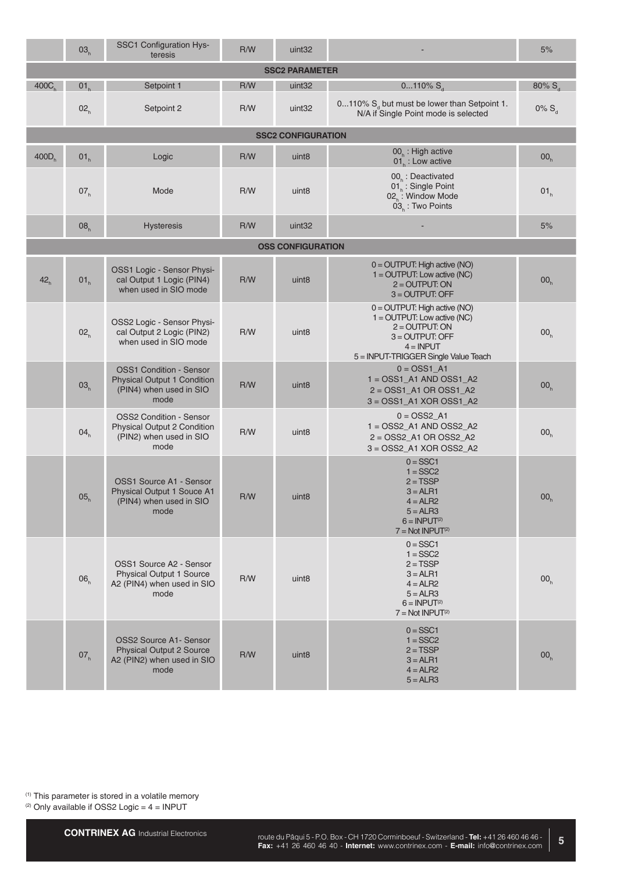|                   | 03 <sub>h</sub> | SSC1 Configuration Hys-<br>teresis                                                                      | R/W | uint <sub>32</sub>        |                                                                                                                                                                 | 5%                 |
|-------------------|-----------------|---------------------------------------------------------------------------------------------------------|-----|---------------------------|-----------------------------------------------------------------------------------------------------------------------------------------------------------------|--------------------|
|                   |                 |                                                                                                         |     | <b>SSC2 PARAMETER</b>     |                                                                                                                                                                 |                    |
| 400C <sub>b</sub> | 01 <sub>h</sub> | Setpoint 1                                                                                              | R/W | uint32                    | $0110\% S_{d}$                                                                                                                                                  | 80% S <sub>a</sub> |
|                   | 02 <sub>h</sub> | Setpoint 2                                                                                              | R/W | uint <sub>32</sub>        | 0110% $S_d$ but must be lower than Setpoint 1.<br>N/A if Single Point mode is selected                                                                          | $0\% S_{d}$        |
|                   |                 |                                                                                                         |     | <b>SSC2 CONFIGURATION</b> |                                                                                                                                                                 |                    |
| $400D_h$          | 01 <sub>h</sub> | Logic                                                                                                   | R/W | uint <sub>8</sub>         | $00h$ : High active<br>$01b$ : Low active                                                                                                                       | 00 <sub>h</sub>    |
|                   | 07 <sub>h</sub> | Mode                                                                                                    | R/W | uint <sub>8</sub>         | 00 <sub>h</sub> : Deactivated<br>01. Single Point<br>02 <sub>h</sub> : Window Mode<br>$03h$ : Two Points                                                        | 01 <sub>h</sub>    |
|                   | 08 <sub>h</sub> | <b>Hysteresis</b>                                                                                       | R/W | uint <sub>32</sub>        |                                                                                                                                                                 | 5%                 |
|                   |                 |                                                                                                         |     | <b>OSS CONFIGURATION</b>  |                                                                                                                                                                 |                    |
| 42 <sub>h</sub>   | 01 <sub>h</sub> | OSS1 Logic - Sensor Physi-<br>cal Output 1 Logic (PIN4)<br>when used in SIO mode                        | R/W | uint <sub>8</sub>         | $0 =$ OUTPUT: High active (NO)<br>$1 =$ OUTPUT: Low active (NC)<br>$2 =$ OUTPUT: ON<br>$3 =$ OUTPUT: OFF                                                        | 00 <sub>h</sub>    |
|                   | 02 <sub>h</sub> | OSS2 Logic - Sensor Physi-<br>cal Output 2 Logic (PIN2)<br>when used in SIO mode                        | R/W | uint <sub>8</sub>         | $0 =$ OUTPUT: High active (NO)<br>$1 =$ OUTPUT: Low active (NC)<br>$2 =$ OUTPUT: ON<br>$3 =$ OUTPUT: OFF<br>$4 = INPUT$<br>5 = INPUT-TRIGGER Single Value Teach | 00 <sub>h</sub>    |
|                   | 03 <sub>h</sub> | <b>OSS1 Condition - Sensor</b><br><b>Physical Output 1 Condition</b><br>(PIN4) when used in SIO<br>mode | R/W | uint <sub>8</sub>         | $0 = OSS1_A1$<br>$1 =$ OSS1_A1 AND OSS1_A2<br>$2 = OSS1_A1$ OR $OSS1_A2$<br>$3 =$ OSS1_A1 XOR OSS1_A2                                                           | 00 <sub>h</sub>    |
|                   | 04 <sub>h</sub> | <b>OSS2 Condition - Sensor</b><br>Physical Output 2 Condition<br>(PIN2) when used in SIO<br>mode        | R/W | uint <sub>8</sub>         | $0 = OSS2_A1$<br>$1 = OSS2$ _A1 AND OSS2_A2<br>2 = OSS2_A1 OR OSS2_A2<br>3 = OSS2_A1 XOR OSS2_A2                                                                | 00 <sub>h</sub>    |
|                   | 05 <sub>h</sub> | OSS1 Source A1 - Sensor<br>Physical Output 1 Souce A1<br>(PIN4) when used in SIO<br>mode                | R/W | uint <sub>8</sub>         | $0 = SSC1$<br>$1 = SSC2$<br>$2 = TSSP$<br>$3 = ALR1$<br>$4 = ALR2$<br>$5 = ALR3$<br>$6 = INPUT(2)$<br>$7 = Not INPUT(2)$                                        | 00 <sub>h</sub>    |
|                   | 06 <sub>h</sub> | OSS1 Source A2 - Sensor<br><b>Physical Output 1 Source</b><br>A2 (PIN4) when used in SIO<br>mode        | R/W | uint <sub>8</sub>         | $0 = SSC1$<br>$1 = SSC2$<br>$2 = TSSP$<br>$3 = ALR1$<br>$4 = ALR2$<br>$5 = ALR3$<br>$6 = INPUT(2)$<br>$7 = Not INPUT(2)$                                        | 00 <sub>h</sub>    |
|                   | 07 <sub>h</sub> | <b>OSS2 Source A1- Sensor</b><br><b>Physical Output 2 Source</b><br>A2 (PIN2) when used in SIO<br>mode  | R/W | uint <sub>8</sub>         | $0 = SSC1$<br>$1 = SSC2$<br>$2 = TSSP$<br>$3 = ALR1$<br>$4 = ALR2$<br>$5 = ALR3$                                                                                | 00 <sub>h</sub>    |

 $(2)$  Only available if OSS2 Logic =  $4 =$  INPUT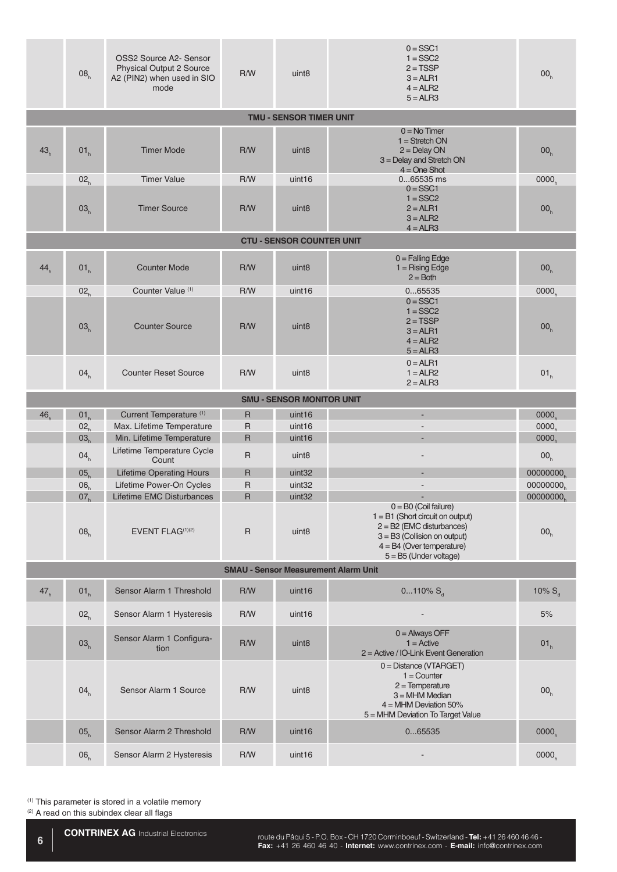|                 | 08 <sub>h</sub>                    | OSS2 Source A2- Sensor<br>Physical Output 2 Source<br>A2 (PIN2) when used in SIO<br>mode | R/W               | uint <sub>8</sub>                       | $0 = SSC1$<br>$1 = SSC2$<br>$2 = TSSP$<br>$3 = ALR1$<br>$4 = ALR2$<br>$5 = ALR3$                                                                                                          | 00 <sub>h</sub>             |
|-----------------|------------------------------------|------------------------------------------------------------------------------------------|-------------------|-----------------------------------------|-------------------------------------------------------------------------------------------------------------------------------------------------------------------------------------------|-----------------------------|
|                 |                                    |                                                                                          |                   | <b>TMU - SENSOR TIMER UNIT</b>          |                                                                                                                                                                                           |                             |
| 43 <sub>h</sub> | 01 <sub>h</sub>                    | <b>Timer Mode</b>                                                                        | R/W               | uint <sub>8</sub>                       | $0 = No$ Timer<br>$1 =$ Stretch ON<br>$2 =$ Delay ON<br>3 = Delay and Stretch ON<br>$4 = One$ Shot                                                                                        | 00 <sub>h</sub>             |
|                 | 02 <sub>h</sub>                    | <b>Timer Value</b>                                                                       | R/W               | uint <sub>16</sub>                      | 065535 ms                                                                                                                                                                                 | 0000 <sub>h</sub>           |
|                 | 03 <sub>h</sub>                    | <b>Timer Source</b>                                                                      | R/W               | uint <sub>8</sub>                       | $0 = SSC1$<br>$1 = SSC2$<br>$2 = ALR1$<br>$3 = ALR2$<br>$4 = ALR3$                                                                                                                        | 00 <sub>h</sub>             |
|                 |                                    |                                                                                          |                   | <b>CTU - SENSOR COUNTER UNIT</b>        |                                                                                                                                                                                           |                             |
| 44 <sub>h</sub> | 01 <sub>h</sub>                    | <b>Counter Mode</b>                                                                      | R/W               | uint <sub>8</sub>                       | $0 =$ Falling Edge<br>$1 =$ Rising Edge<br>$2 = Both$                                                                                                                                     | 00 <sub>h</sub>             |
|                 | 02 <sub>h</sub>                    | Counter Value (1)                                                                        | R/W               | uint16                                  | 065535                                                                                                                                                                                    | 0000 <sub>h</sub>           |
|                 | 03 <sub>h</sub>                    | <b>Counter Source</b>                                                                    | R/W               | uint <sub>8</sub>                       | $0 = SSC1$<br>$1 = SSC2$<br>$2 = TSSP$<br>$3 = ALR1$<br>$4 = ALR2$<br>$5 = ALR3$                                                                                                          | 00 <sub>h</sub>             |
|                 | 04 <sub>h</sub>                    | <b>Counter Reset Source</b>                                                              | R/W               | uint <sub>8</sub>                       | $0 = ALR1$<br>$1 = ALR2$<br>$2 = ALR3$                                                                                                                                                    | 01 <sub>h</sub>             |
|                 |                                    |                                                                                          |                   | <b>SMU - SENSOR MONITOR UNIT</b>        |                                                                                                                                                                                           |                             |
| 46 <sub>h</sub> | 01 <sub>h</sub>                    | Current Temperature <sup>(1)</sup>                                                       | $\mathsf{R}$      | uint16                                  | $\overline{a}$                                                                                                                                                                            | 0000 <sub>b</sub>           |
|                 | 02 <sub>h</sub>                    | Max. Lifetime Temperature                                                                | R                 | uint <sub>16</sub>                      |                                                                                                                                                                                           | 0000 <sub>h</sub>           |
|                 | 03 <sub>h</sub>                    | Min. Lifetime Temperature                                                                | R                 | uint16                                  | ÷,                                                                                                                                                                                        | 0000 <sub>b</sub>           |
|                 | 04 <sub>h</sub>                    | Lifetime Temperature Cycle<br>Count                                                      | $\mathsf R$       | uint <sub>8</sub>                       |                                                                                                                                                                                           | 00 <sub>h</sub>             |
|                 | 05 <sub>b</sub>                    | <b>Lifetime Operating Hours</b>                                                          | R                 | uint <sub>32</sub>                      |                                                                                                                                                                                           | 00000000 <sub>h</sub>       |
|                 | 06 <sub>h</sub>                    | Lifetime Power-On Cycles                                                                 | $\mathsf{R}$      | uint <sub>32</sub>                      |                                                                                                                                                                                           | 00000000                    |
|                 | 07 <sub>h</sub><br>08 <sub>h</sub> | Lifetime EMC Disturbances<br>EVENT FLAG <sup>(1)(2)</sup>                                | R<br>$\mathsf{R}$ | uint <sub>32</sub><br>uint <sub>8</sub> | $0 = BO$ (Coil failure)<br>$1 = B1$ (Short circuit on output)<br>$2 = B2$ (EMC disturbances)<br>$3 = B3$ (Collision on output)<br>$4 = B4$ (Over temperature)<br>$5 = B5$ (Under voltage) | 00000000<br>00 <sub>h</sub> |
|                 |                                    |                                                                                          |                   |                                         | <b>SMAU - Sensor Measurement Alarm Unit</b>                                                                                                                                               |                             |
| 47 <sub>h</sub> | 01 <sub>h</sub>                    | Sensor Alarm 1 Threshold                                                                 | R/W               | uint16                                  | $0110\% S_{d}$                                                                                                                                                                            | 10% $S_{d}$                 |
|                 | 02 <sub>h</sub>                    | Sensor Alarm 1 Hysteresis                                                                | R/W               | uint16                                  |                                                                                                                                                                                           | 5%                          |
|                 | 03 <sub>h</sub>                    | Sensor Alarm 1 Configura-<br>tion                                                        | R/W               | uint <sub>8</sub>                       | $0 =$ Always OFF<br>$1 =$ Active<br>2 = Active / IO-Link Event Generation                                                                                                                 | 01 <sub>h</sub>             |
|                 | 04 <sub>h</sub>                    | Sensor Alarm 1 Source                                                                    | R/W               | uint <sub>8</sub>                       | 0 = Distance (VTARGET)<br>$1 =$ Counter<br>$2 =$ Temperature<br>$3 = MHM Median$<br>$4 = MHM$ Deviation 50%<br>5 = MHM Deviation To Target Value                                          | 00 <sub>h</sub>             |
|                 | 05 <sub>h</sub>                    | Sensor Alarm 2 Threshold                                                                 | R/W               | uint <sub>16</sub>                      | 065535                                                                                                                                                                                    | 0000 <sub>h</sub>           |
|                 | 06 <sub>h</sub>                    | Sensor Alarm 2 Hysteresis                                                                | R/W               | uint <sub>16</sub>                      |                                                                                                                                                                                           | 0000 <sub>h</sub>           |

 $(2)$  A read on this subindex clear all flags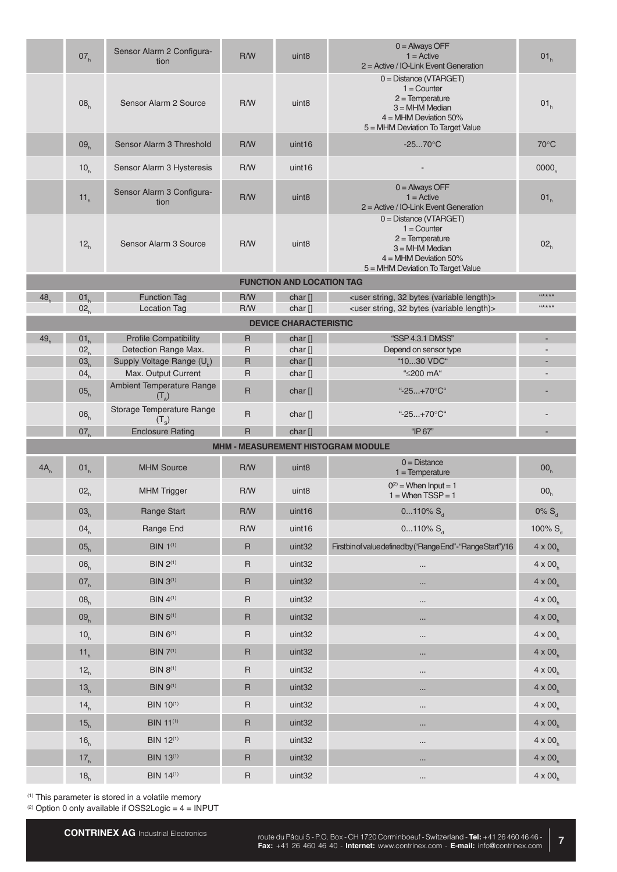|                 | 07 <sub>h</sub>                    | Sensor Alarm 2 Configura-<br>tion                    | R/W               | uint <sub>8</sub>                | $0 =$ Always OFF<br>$1 =$ Active<br>$2 =$ Active / IO-Link Event Generation                                                                        | 01 <sub>h</sub>   |
|-----------------|------------------------------------|------------------------------------------------------|-------------------|----------------------------------|----------------------------------------------------------------------------------------------------------------------------------------------------|-------------------|
|                 | 08 <sub>h</sub>                    | Sensor Alarm 2 Source                                | R/W               | uint <sub>8</sub>                | 0 = Distance (VTARGET)<br>$1 =$ Counter<br>$2 =$ Temperature<br>$3 = MHM Median$<br>$4 = MHM$ Deviation 50%<br>5 = MHM Deviation To Target Value   | 01 <sub>h</sub>   |
|                 | 09 <sub>h</sub>                    | Sensor Alarm 3 Threshold                             | R/W               | uint <sub>16</sub>               | $-2570^{\circ}C$                                                                                                                                   | $70^{\circ}$ C    |
|                 | 10 <sub>h</sub>                    | Sensor Alarm 3 Hysteresis                            | R/W               | uint <sub>16</sub>               |                                                                                                                                                    | 0000 <sub>b</sub> |
|                 | 11 <sub>h</sub>                    | Sensor Alarm 3 Configura-<br>tion                    | R/W               | uint <sub>8</sub>                | $0 =$ Always OFF<br>$1 =$ Active<br>2 = Active / IO-Link Event Generation                                                                          | 01 <sub>h</sub>   |
|                 | 12 <sub>h</sub>                    | Sensor Alarm 3 Source                                | R/W               | uint <sub>8</sub>                | $0 = Distance (VTARGET)$<br>$1 =$ Counter<br>$2 =$ Temperature<br>$3 = MHM Median$<br>$4 = MHM$ Deviation 50%<br>5 = MHM Deviation To Target Value | 02 <sub>h</sub>   |
|                 |                                    |                                                      |                   | <b>FUNCTION AND LOCATION TAG</b> |                                                                                                                                                    |                   |
| 48 <sub>b</sub> | 01 <sub>b</sub>                    | <b>Function Tag</b>                                  | R/W               | char[]                           | <user (variable="" 32="" bytes="" length)="" string,=""></user>                                                                                    | $44+14$           |
|                 | 02 <sub>h</sub>                    | <b>Location Tag</b>                                  | R/W               | char []                          | <user (variable="" 32="" bytes="" length)="" string,=""></user>                                                                                    | $44**44$          |
|                 |                                    |                                                      |                   | <b>DEVICE CHARACTERISTIC</b>     |                                                                                                                                                    |                   |
| 49 <sub>b</sub> | 01 <sub>h</sub><br>02 <sub>h</sub> | <b>Profile Compatibility</b><br>Detection Range Max. | $\mathsf{R}$<br>R | char []<br>char[]                | "SSP 4.3.1 DMSS"<br>Depend on sensor type                                                                                                          |                   |
|                 | 03 <sub>b</sub>                    | Supply Voltage Range (U <sub>b</sub> )               | R                 | char[]                           | "1030 VDC"                                                                                                                                         |                   |
|                 | 04 <sub>h</sub>                    | Max. Output Current                                  | R                 | char[]                           | "≤200 mA"                                                                                                                                          |                   |
|                 | 05 <sub>h</sub>                    | Ambient Temperature Range<br>$(T_A)$                 | $\mathsf{R}$      | char[]                           | "-25+70°C"                                                                                                                                         |                   |
|                 | 06 <sub>h</sub>                    | Storage Temperature Range<br>$(T_{\rm s})$           | $\mathsf{R}$      | char[]                           | "-25+70°C"                                                                                                                                         |                   |
|                 | 07 <sub>h</sub>                    | <b>Enclosure Rating</b>                              | $\mathsf{R}$      | char []                          | "IP 67"                                                                                                                                            |                   |
|                 |                                    |                                                      |                   |                                  | <b>MHM - MEASUREMENT HISTOGRAM MODULE</b>                                                                                                          |                   |
| 4A <sub>h</sub> | 01 <sub>h</sub>                    | <b>MHM Source</b>                                    | R/W               | uint <sub>8</sub>                | $0 = Distance$<br>$1 = Temperature$                                                                                                                | 00 <sub>h</sub>   |
|                 | 02 <sub>h</sub>                    | <b>MHM Trigger</b>                                   | R/W               | uint <sub>8</sub>                | $0^{(2)}$ = When Input = 1<br>$1 =$ When TSSP = 1                                                                                                  | 00 <sub>h</sub>   |
|                 | 03 <sub>h</sub>                    | Range Start                                          | R/W               | uint16                           | 0110% $S_d$                                                                                                                                        | $0\% S_{d}$       |
|                 | 04 <sub>h</sub>                    | Range End                                            | R/W               | uint16                           | $0110\% S_{d}$                                                                                                                                     | 100% $S_{d}$      |
|                 | 05 <sub>h</sub>                    | <b>BIN 1(1)</b>                                      | $\mathsf{R}$      | uint <sub>32</sub>               | Firstbin of value defined by ("Range End"-"Range Start")/16                                                                                        | $4 \times 00_h$   |
|                 | 06 <sub>h</sub>                    | <b>BIN 2(1)</b>                                      | $\mathsf{R}$      | uint32                           |                                                                                                                                                    | $4 \times 00_h$   |
|                 | 07 <sub>h</sub>                    | <b>BIN 3(1)</b>                                      | $\sf R$           | uint <sub>32</sub>               |                                                                                                                                                    | $4 \times 00_h$   |
|                 | 08 <sub>h</sub>                    | <b>BIN 4(1)</b>                                      | $\mathsf{R}$      | uint32                           | $\cdots$                                                                                                                                           | $4 \times 00_h$   |
|                 | 09 <sub>h</sub>                    | <b>BIN 5(1)</b>                                      | $\mathsf{R}$      | uint <sub>32</sub>               |                                                                                                                                                    | $4 \times 00_h$   |
|                 | 10 <sub>h</sub>                    | <b>BIN 6(1)</b>                                      | $\mathsf{R}$      | uint <sub>32</sub>               |                                                                                                                                                    | $4 \times 00_h$   |
|                 | 11 <sub>h</sub>                    | <b>BIN 7(1)</b>                                      | $\sf R$           | uint <sub>32</sub>               | $\cdots$                                                                                                                                           | $4 \times 00_h$   |
|                 | 12 <sub>h</sub>                    | <b>BIN 8(1)</b>                                      | $\mathsf{R}$      | uint32                           | $\cdots$                                                                                                                                           | $4 \times 00_h$   |
|                 | 13 <sub>h</sub>                    | <b>BIN 9(1)</b>                                      | $\sf R$           | uint <sub>32</sub>               |                                                                                                                                                    | $4 \times 00_h$   |
|                 | 14 <sub>h</sub>                    | <b>BIN 10(1)</b>                                     | $\sf R$           | uint32                           | $\cdots$                                                                                                                                           | $4 \times 00_h$   |
|                 | 15 <sub>h</sub>                    | <b>BIN 11(1)</b>                                     | $\mathsf{R}$      | uint <sub>32</sub>               |                                                                                                                                                    | $4 \times 00_h$   |
|                 |                                    |                                                      |                   |                                  | $\cdots$                                                                                                                                           |                   |
|                 | 16 <sub>h</sub>                    | <b>BIN 12(1)</b>                                     | $\sf R$           | uint32                           |                                                                                                                                                    | $4 \times 00_h$   |
|                 | 17 <sub>h</sub>                    | <b>BIN 13(1)</b>                                     | $\mathsf{R}$      | uint <sub>32</sub>               | $\cdots$                                                                                                                                           | $4 \times 00_h$   |
|                 | 18 <sub>h</sub>                    | <b>BIN 14(1)</b>                                     | $\mathsf R$       | uint32                           | $\cdots$                                                                                                                                           | $4 \times 00_h$   |

 $(2)$  Option 0 only available if OSS2Logic =  $4 =$  INPUT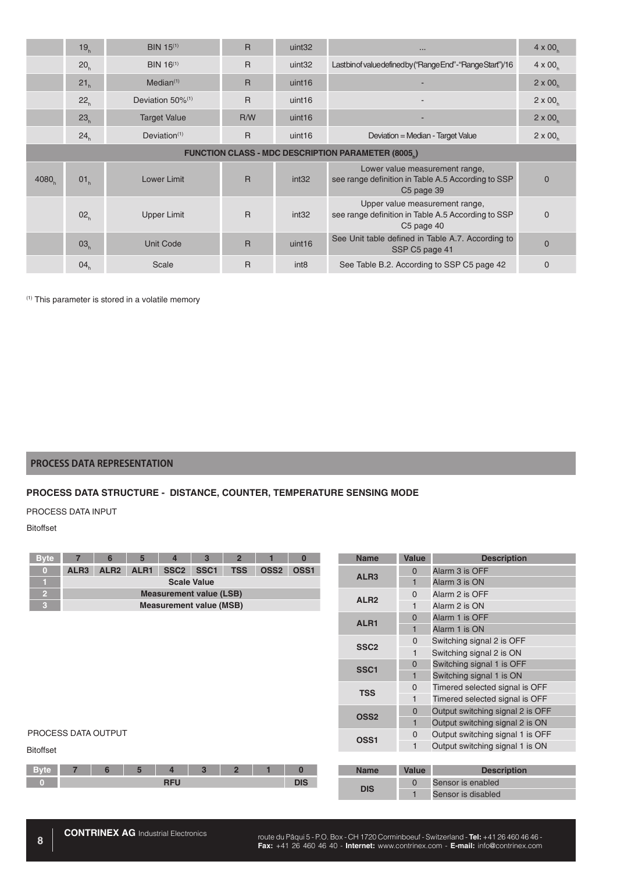|                                                          | 19 <sub>h</sub> | BIN 15 <sup>(1)</sup>        | $\mathsf{R}$ | uint <sub>32</sub> | $\cdots$                                                                                                       | $4 \times 00$     |  |  |  |
|----------------------------------------------------------|-----------------|------------------------------|--------------|--------------------|----------------------------------------------------------------------------------------------------------------|-------------------|--|--|--|
|                                                          | 20 <sub>h</sub> | BIN 16 <sup>(1)</sup>        | $\mathsf{R}$ | uint <sub>32</sub> | Lastbin of value defined by ("Range End" - "Range Start")/16                                                   | $4 \times 00_{h}$ |  |  |  |
|                                                          | 21 <sub>h</sub> | Median <sup>(1)</sup>        | $\mathsf{R}$ | uint <sub>16</sub> |                                                                                                                | $2 \times 00$     |  |  |  |
|                                                          | 22 <sub>h</sub> | Deviation 50% <sup>(1)</sup> | $\mathsf{R}$ | uint <sub>16</sub> |                                                                                                                | $2 \times 00$     |  |  |  |
|                                                          | 23 <sub>h</sub> | <b>Target Value</b>          | R/W          | uint <sub>16</sub> |                                                                                                                | $2 \times 00$     |  |  |  |
|                                                          | 24 <sub>h</sub> | Deviation $(1)$              | $\mathsf{R}$ | uint <sub>16</sub> | Deviation = Median - Target Value                                                                              | $2 \times 00^{6}$ |  |  |  |
| <b>FUNCTION CLASS - MDC DESCRIPTION PARAMETER (8005)</b> |                 |                              |              |                    |                                                                                                                |                   |  |  |  |
| 4080                                                     | 01 <sub>h</sub> | Lower Limit                  | $\mathsf{R}$ | int32              | Lower value measurement range,<br>see range definition in Table A.5 According to SSP<br>C <sub>5</sub> page 39 | $\Omega$          |  |  |  |
|                                                          | 02 <sub>h</sub> | Upper Limit                  | $\mathsf{R}$ | int32              | Upper value measurement range,<br>see range definition in Table A.5 According to SSP<br>C <sub>5</sub> page 40 | $\Omega$          |  |  |  |
|                                                          | 03 <sub>n</sub> | <b>Unit Code</b>             | $\mathsf{R}$ | uint <sub>16</sub> | See Unit table defined in Table A.7. According to<br>SSP C5 page 41                                            | $\mathbf{0}$      |  |  |  |
|                                                          | 04 <sub>h</sub> | Scale                        | $\mathsf{R}$ | int <sub>8</sub>   | See Table B.2. According to SSP C5 page 42                                                                     | $\Omega$          |  |  |  |

# **PROCESS DATA REPRESENTATION**

## **PROCESS DATA STRUCTURE - DISTANCE, COUNTER, TEMPERATURE SENSING MODE**

#### PROCESS DATA INPUT

### Bitoffset

| <b>Byte</b>                |                                | 6                | 5                | 4                | 3                | $\overline{2}$ |                  | 0                |                  | <b>Name</b>        | Value                            | <b>Description</b>               |
|----------------------------|--------------------------------|------------------|------------------|------------------|------------------|----------------|------------------|------------------|------------------|--------------------|----------------------------------|----------------------------------|
| $\left( 0\right)$          | ALR <sub>3</sub>               | ALR <sub>2</sub> | ALR <sub>1</sub> | SSC <sub>2</sub> | SSC <sub>1</sub> | <b>TSS</b>     | OSS <sub>2</sub> | OSS <sub>1</sub> |                  |                    | $\mathbf{0}$                     | Alarm 3 is OFF                   |
|                            | <b>Scale Value</b>             |                  |                  |                  |                  |                |                  |                  | ALR <sub>3</sub> |                    | Alarm 3 is ON                    |                                  |
| P.                         | <b>Measurement value (LSB)</b> |                  |                  |                  |                  |                |                  |                  |                  | ALR <sub>2</sub>   | $\mathbf{0}$                     | Alarm 2 is OFF                   |
| 3                          | <b>Measurement value (MSB)</b> |                  |                  |                  |                  |                |                  |                  | 1                |                    | Alarm 2 is ON                    |                                  |
|                            |                                |                  |                  |                  |                  |                | ALR <sub>1</sub> | $\overline{0}$   | Alarm 1 is OFF   |                    |                                  |                                  |
|                            |                                |                  |                  |                  |                  |                |                  |                  | 1                | Alarm 1 is ON      |                                  |                                  |
|                            |                                |                  |                  |                  |                  |                |                  |                  | SSC <sub>2</sub> | $\mathbf{0}$       | Switching signal 2 is OFF        |                                  |
|                            |                                |                  |                  |                  |                  |                |                  |                  |                  |                    | $\mathbf{1}$                     | Switching signal 2 is ON         |
|                            |                                |                  |                  |                  |                  |                |                  |                  |                  | SSC <sub>1</sub>   | $\mathbf{0}$                     | Switching signal 1 is OFF        |
|                            |                                |                  |                  |                  |                  |                |                  |                  |                  |                    | $\mathbf{1}$                     | Switching signal 1 is ON         |
|                            |                                |                  |                  |                  |                  |                |                  |                  | <b>TSS</b>       | $\mathbf{0}$       | Timered selected signal is OFF   |                                  |
|                            |                                |                  |                  |                  |                  |                |                  |                  |                  |                    | 1                                | Timered selected signal is OFF   |
|                            |                                |                  |                  |                  |                  |                |                  |                  | OSS <sub>2</sub> | $\mathbf 0$        | Output switching signal 2 is OFF |                                  |
|                            |                                |                  |                  |                  |                  |                |                  |                  |                  |                    | $\mathbf{1}$                     | Output switching signal 2 is ON  |
| <b>PROCESS DATA OUTPUT</b> |                                |                  |                  |                  |                  |                |                  |                  |                  | OSS <sub>1</sub>   | $\mathbf{0}$                     | Output switching signal 1 is OFF |
| <b>Bitoffset</b>           |                                |                  |                  |                  |                  |                |                  |                  |                  |                    | 1                                | Output switching signal 1 is ON  |
|                            |                                |                  |                  |                  |                  |                |                  |                  |                  |                    |                                  |                                  |
| <b>Byte</b>                |                                | 6                | 5                | 4                | 3                | $\overline{2}$ | 1                | $\bf{0}$         |                  | <b>Name</b>        | <b>Value</b>                     | <b>Description</b>               |
| $\Omega$                   | <b>RFU</b><br><b>DIS</b>       |                  |                  |                  |                  |                |                  |                  | $\mathbf{0}$     | Sensor is enabled  |                                  |                                  |
|                            |                                |                  |                  |                  |                  |                |                  | <b>DIS</b>       |                  | Sensor is disabled |                                  |                                  |
|                            |                                |                  |                  |                  |                  |                |                  |                  |                  |                    |                                  |                                  |